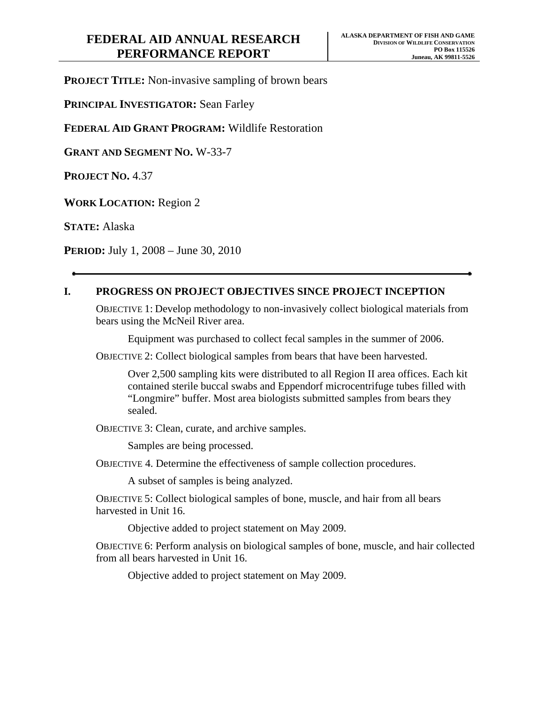**PROJECT TITLE:** Non-invasive sampling of brown bears

**PRINCIPAL INVESTIGATOR:** Sean Farley

**FEDERAL AID GRANT PROGRAM:** Wildlife Restoration

**GRANT AND SEGMENT NO.** W-33-7

**PROJECT NO.** 4.37

**WORK LOCATION:** Region 2

**STATE:** Alaska

**PERIOD:** July 1, 2008 – June 30, 2010

# **I. PROGRESS ON PROJECT OBJECTIVES SINCE PROJECT INCEPTION**

OBJECTIVE 1: Develop methodology to non-invasively collect biological materials from bears using the McNeil River area.

Equipment was purchased to collect fecal samples in the summer of 2006.

OBJECTIVE 2: Collect biological samples from bears that have been harvested.

Over 2,500 sampling kits were distributed to all Region II area offices. Each kit contained sterile buccal swabs and Eppendorf microcentrifuge tubes filled with "Longmire" buffer. Most area biologists submitted samples from bears they sealed.

OBJECTIVE 3: Clean, curate, and archive samples.

Samples are being processed.

OBJECTIVE 4. Determine the effectiveness of sample collection procedures.

A subset of samples is being analyzed.

OBJECTIVE 5: Collect biological samples of bone, muscle, and hair from all bears harvested in Unit 16.

Objective added to project statement on May 2009.

OBJECTIVE 6: Perform analysis on biological samples of bone, muscle, and hair collected from all bears harvested in Unit 16.

Objective added to project statement on May 2009.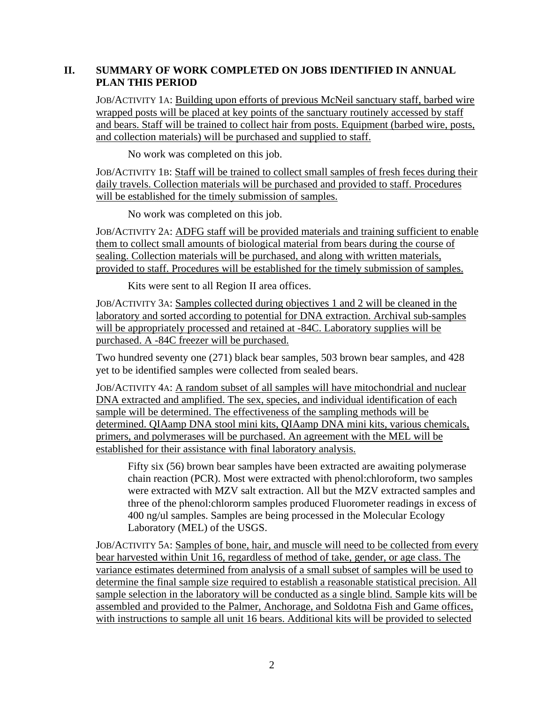### **II. SUMMARY OF WORK COMPLETED ON JOBS IDENTIFIED IN ANNUAL PLAN THIS PERIOD**

JOB/ACTIVITY 1A: Building upon efforts of previous McNeil sanctuary staff, barbed wire wrapped posts will be placed at key points of the sanctuary routinely accessed by staff and bears. Staff will be trained to collect hair from posts. Equipment (barbed wire, posts, and collection materials) will be purchased and supplied to staff.

No work was completed on this job.

JOB/ACTIVITY 1B: Staff will be trained to collect small samples of fresh feces during their daily travels. Collection materials will be purchased and provided to staff. Procedures will be established for the timely submission of samples.

No work was completed on this job.

JOB/ACTIVITY 2A: ADFG staff will be provided materials and training sufficient to enable them to collect small amounts of biological material from bears during the course of sealing. Collection materials will be purchased, and along with written materials, provided to staff. Procedures will be established for the timely submission of samples.

Kits were sent to all Region II area offices.

JOB/ACTIVITY 3A: Samples collected during objectives 1 and 2 will be cleaned in the laboratory and sorted according to potential for DNA extraction. Archival sub-samples will be appropriately processed and retained at -84C. Laboratory supplies will be purchased. A -84C freezer will be purchased.

Two hundred seventy one (271) black bear samples, 503 brown bear samples, and 428 yet to be identified samples were collected from sealed bears.

JOB/ACTIVITY 4A: A random subset of all samples will have mitochondrial and nuclear DNA extracted and amplified. The sex, species, and individual identification of each sample will be determined. The effectiveness of the sampling methods will be determined. QIAamp DNA stool mini kits, QIAamp DNA mini kits, various chemicals, primers, and polymerases will be purchased. An agreement with the MEL will be established for their assistance with final laboratory analysis.

Fifty six (56) brown bear samples have been extracted are awaiting polymerase chain reaction (PCR). Most were extracted with phenol:chloroform, two samples were extracted with MZV salt extraction. All but the MZV extracted samples and three of the phenol:chlororm samples produced Fluorometer readings in excess of 400 ng/ul samples. Samples are being processed in the Molecular Ecology Laboratory (MEL) of the USGS.

JOB/ACTIVITY 5A: Samples of bone, hair, and muscle will need to be collected from every bear harvested within Unit 16, regardless of method of take, gender, or age class. The variance estimates determined from analysis of a small subset of samples will be used to determine the final sample size required to establish a reasonable statistical precision. All sample selection in the laboratory will be conducted as a single blind. Sample kits will be assembled and provided to the Palmer, Anchorage, and Soldotna Fish and Game offices, with instructions to sample all unit 16 bears. Additional kits will be provided to selected